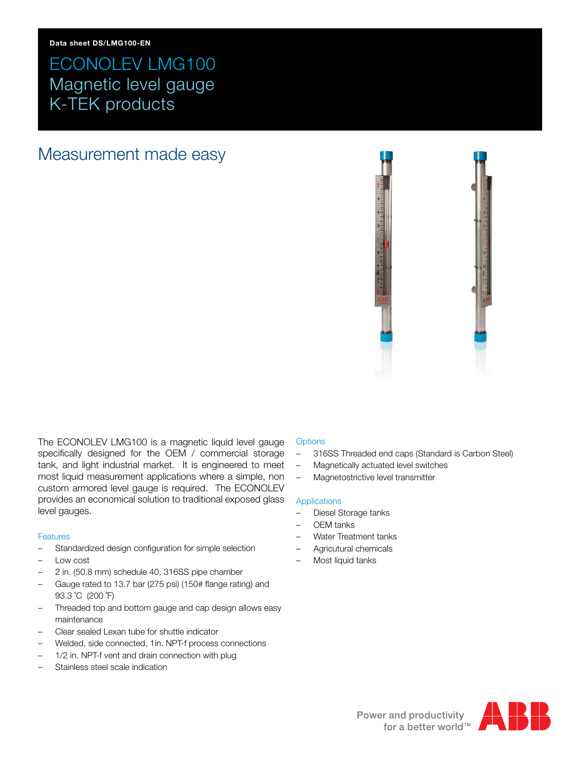ECONOLEV LMG100 Magnetic level gauge K-TEK products

# Measurement made easy



The ECONOLEV LMG100 is a magnetic liquid level gauge specifically designed for the OEM / commercial storage tank, and light industrial market. It is engineered to meet most liquid measurement applications where a simple, non custom armored level gauge is required. The ECONOLEV provides an economical solution to traditional exposed glass level gauges.

### **Features**

- Standardized design configuration for simple selection
- Low cost
- 2 in. (50.8 mm) schedule 40, 316SS pipe chamber
- Gauge rated to 13.7 bar (275 psi) (150# flange rating) and 93.3 ˚C (200 ˚F)
- Threaded top and bottom gauge and cap design allows easy maintenance
- Clear sealed Lexan tube for shuttle indicator
- Welded, side connected, 1in. NPT-f process connections
- 1/2 in. NPT-f vent and drain connection with plug
- Stainless steel scale indication

### **Options**

- 316SS Threaded end caps (Standard is Carbon Steel)
- Magnetically actuated level switches
- Magnetostrictive level transmitter

### **Applications**

- Diesel Storage tanks
- OEM tanks
- Water Treatment tanks
- Agricutural chemicals
- Most liquid tanks